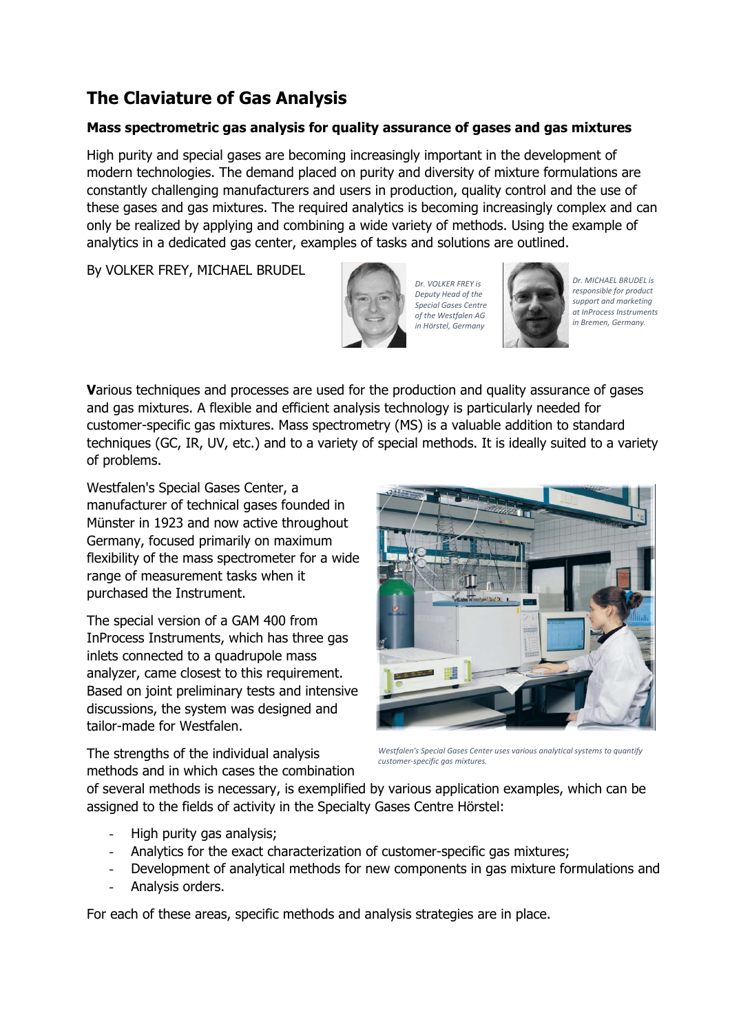# **The Claviature of Gas Analysis**

# **Mass spectrometric gas analysis for quality assurance of gases and gas mixtures**

High purity and special gases are becoming increasingly important in the development of modern technologies. The demand placed on purity and diversity of mixture formulations are constantly challenging manufacturers and users in production, quality control and the use of these gases and gas mixtures. The required analytics is becoming increasingly complex and can only be realized by applying and combining a wide variety of methods. Using the example of analytics in a dedicated gas center, examples of tasks and solutions are outlined.

By VOLKER FREY, MICHAEL BRUDEL



*Dr. VOLKER FREY is Deputy Head of the Special Gases Centre of the Westfalen AG in Hörstel, Germany*



*Dr. MICHAEL BRUDEL is responsible for product support and marketing at InProcess Instruments in Bremen, Germany.* 

**V**arious techniques and processes are used for the production and quality assurance of gases and gas mixtures. A flexible and efficient analysis technology is particularly needed for customer-specific gas mixtures. Mass spectrometry (MS) is a valuable addition to standard techniques (GC, IR, UV, etc.) and to a variety of special methods. It is ideally suited to a variety of problems.

Westfalen's Special Gases Center, a manufacturer of technical gases founded in Münster in 1923 and now active throughout Germany, focused primarily on maximum flexibility of the mass spectrometer for a wide range of measurement tasks when it purchased the Instrument.

The special version of a GAM 400 from InProcess Instruments, which has three gas inlets connected to a quadrupole mass analyzer, came closest to this requirement. Based on joint preliminary tests and intensive discussions, the system was designed and tailor-made for Westfalen.

The strengths of the individual analysis methods and in which cases the combination

*Westfalen's Special Gases Center uses various analytical systems to quantify customer‐specific gas mixtures.*

of several methods is necessary, is exemplified by various application examples, which can be assigned to the fields of activity in the Specialty Gases Centre Hörstel:

- **‐** High purity gas analysis;
- **‐** Analytics for the exact characterization of customer-specific gas mixtures;
- **‐** Development of analytical methods for new components in gas mixture formulations and
- **‐** Analysis orders.

For each of these areas, specific methods and analysis strategies are in place.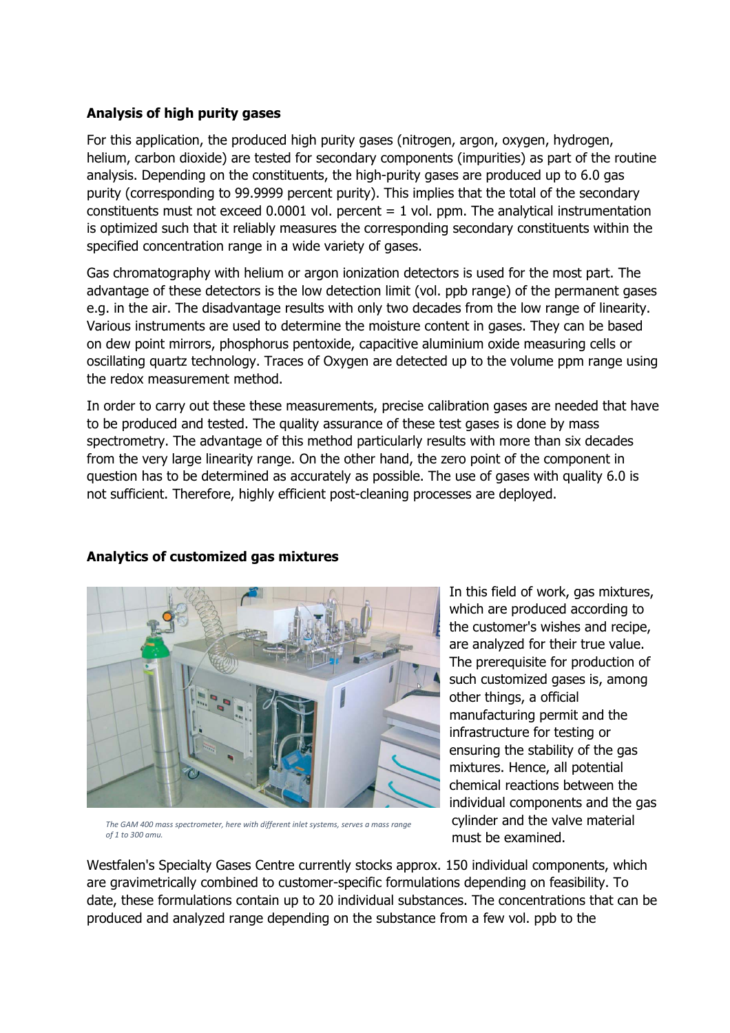# **Analysis of high purity gases**

For this application, the produced high purity gases (nitrogen, argon, oxygen, hydrogen, helium, carbon dioxide) are tested for secondary components (impurities) as part of the routine analysis. Depending on the constituents, the high-purity gases are produced up to 6.0 gas purity (corresponding to 99.9999 percent purity). This implies that the total of the secondary constituents must not exceed 0.0001 vol. percent  $= 1$  vol. ppm. The analytical instrumentation is optimized such that it reliably measures the corresponding secondary constituents within the specified concentration range in a wide variety of gases.

Gas chromatography with helium or argon ionization detectors is used for the most part. The advantage of these detectors is the low detection limit (vol. ppb range) of the permanent gases e.g. in the air. The disadvantage results with only two decades from the low range of linearity. Various instruments are used to determine the moisture content in gases. They can be based on dew point mirrors, phosphorus pentoxide, capacitive aluminium oxide measuring cells or oscillating quartz technology. Traces of Oxygen are detected up to the volume ppm range using the redox measurement method.

In order to carry out these these measurements, precise calibration gases are needed that have to be produced and tested. The quality assurance of these test gases is done by mass spectrometry. The advantage of this method particularly results with more than six decades from the very large linearity range. On the other hand, the zero point of the component in question has to be determined as accurately as possible. The use of gases with quality 6.0 is not sufficient. Therefore, highly efficient post-cleaning processes are deployed.

**Analytics of customized gas mixtures** 

*The GAM 400 mass spectrometer, here with different inlet systems, serves a mass range of 1 to 300 amu.*

In this field of work, gas mixtures, which are produced according to the customer's wishes and recipe, are analyzed for their true value. The prerequisite for production of such customized gases is, among other things, a official manufacturing permit and the infrastructure for testing or ensuring the stability of the gas mixtures. Hence, all potential chemical reactions between the individual components and the gas cylinder and the valve material must be examined.

Westfalen's Specialty Gases Centre currently stocks approx. 150 individual components, which are gravimetrically combined to customer-specific formulations depending on feasibility. To date, these formulations contain up to 20 individual substances. The concentrations that can be produced and analyzed range depending on the substance from a few vol. ppb to the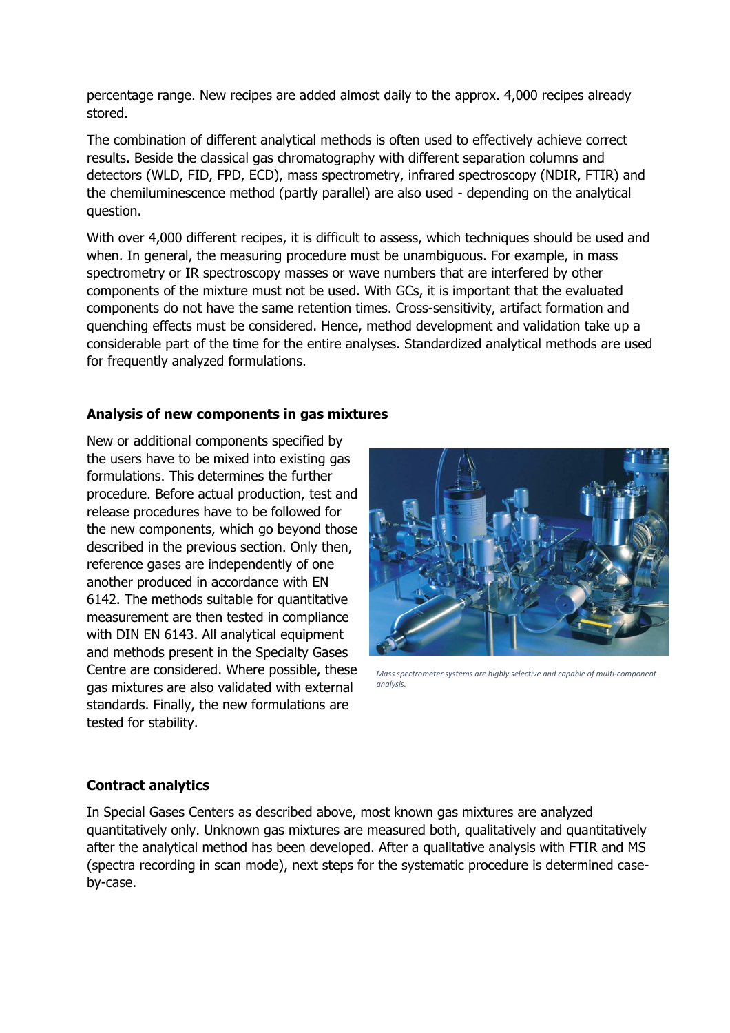percentage range. New recipes are added almost daily to the approx. 4,000 recipes already stored.

The combination of different analytical methods is often used to effectively achieve correct results. Beside the classical gas chromatography with different separation columns and detectors (WLD, FID, FPD, ECD), mass spectrometry, infrared spectroscopy (NDIR, FTIR) and the chemiluminescence method (partly parallel) are also used - depending on the analytical question.

With over 4,000 different recipes, it is difficult to assess, which techniques should be used and when. In general, the measuring procedure must be unambiguous. For example, in mass spectrometry or IR spectroscopy masses or wave numbers that are interfered by other components of the mixture must not be used. With GCs, it is important that the evaluated components do not have the same retention times. Cross-sensitivity, artifact formation and quenching effects must be considered. Hence, method development and validation take up a considerable part of the time for the entire analyses. Standardized analytical methods are used for frequently analyzed formulations.

### **Analysis of new components in gas mixtures**

New or additional components specified by the users have to be mixed into existing gas formulations. This determines the further procedure. Before actual production, test and release procedures have to be followed for the new components, which go beyond those described in the previous section. Only then, reference gases are independently of one another produced in accordance with EN 6142. The methods suitable for quantitative measurement are then tested in compliance with DIN EN 6143. All analytical equipment and methods present in the Specialty Gases Centre are considered. Where possible, these gas mixtures are also validated with external standards. Finally, the new formulations are tested for stability.



*Mass spectrometer systems are highly selective and capable of multi‐component analysis.*

#### **Contract analytics**

In Special Gases Centers as described above, most known gas mixtures are analyzed quantitatively only. Unknown gas mixtures are measured both, qualitatively and quantitatively after the analytical method has been developed. After a qualitative analysis with FTIR and MS (spectra recording in scan mode), next steps for the systematic procedure is determined caseby-case.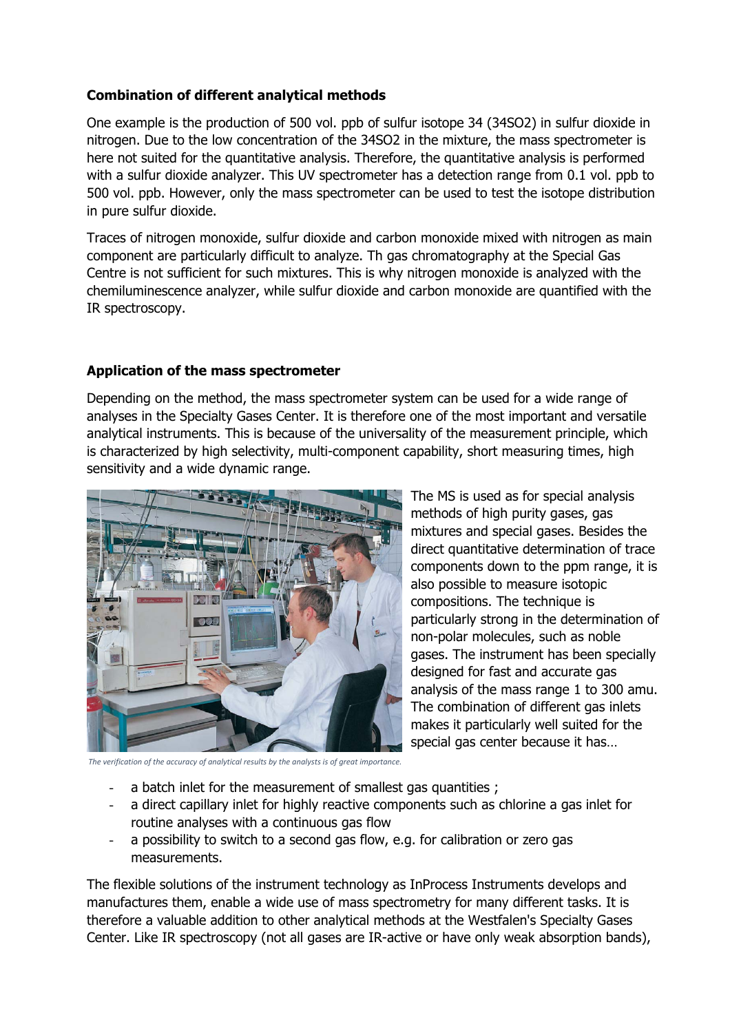# **Combination of different analytical methods**

One example is the production of 500 vol. ppb of sulfur isotope 34 (34SO2) in sulfur dioxide in nitrogen. Due to the low concentration of the 34SO2 in the mixture, the mass spectrometer is here not suited for the quantitative analysis. Therefore, the quantitative analysis is performed with a sulfur dioxide analyzer. This UV spectrometer has a detection range from 0.1 vol. ppb to 500 vol. ppb. However, only the mass spectrometer can be used to test the isotope distribution in pure sulfur dioxide.

Traces of nitrogen monoxide, sulfur dioxide and carbon monoxide mixed with nitrogen as main component are particularly difficult to analyze. Th gas chromatography at the Special Gas Centre is not sufficient for such mixtures. This is why nitrogen monoxide is analyzed with the chemiluminescence analyzer, while sulfur dioxide and carbon monoxide are quantified with the IR spectroscopy.

### **Application of the mass spectrometer**

Depending on the method, the mass spectrometer system can be used for a wide range of analyses in the Specialty Gases Center. It is therefore one of the most important and versatile analytical instruments. This is because of the universality of the measurement principle, which is characterized by high selectivity, multi-component capability, short measuring times, high sensitivity and a wide dynamic range.



The MS is used as for special analysis methods of high purity gases, gas mixtures and special gases. Besides the direct quantitative determination of trace components down to the ppm range, it is also possible to measure isotopic compositions. The technique is particularly strong in the determination of non-polar molecules, such as noble gases. The instrument has been specially designed for fast and accurate gas analysis of the mass range 1 to 300 amu. The combination of different gas inlets makes it particularly well suited for the special gas center because it has…

*The verification of the accuracy of analytical results by the analysts is of great importance.*

- a batch inlet for the measurement of smallest gas quantities ;
- **‐** a direct capillary inlet for highly reactive components such as chlorine a gas inlet for routine analyses with a continuous gas flow
- **‐** a possibility to switch to a second gas flow, e.g. for calibration or zero gas measurements.

The flexible solutions of the instrument technology as InProcess Instruments develops and manufactures them, enable a wide use of mass spectrometry for many different tasks. It is therefore a valuable addition to other analytical methods at the Westfalen's Specialty Gases Center. Like IR spectroscopy (not all gases are IR-active or have only weak absorption bands),